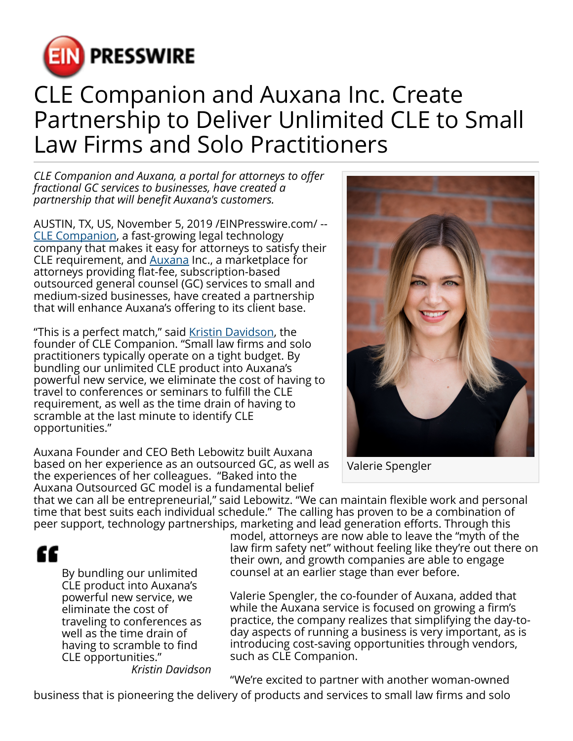

## CLE Companion and Auxana Inc. Create Partnership to Deliver Unlimited CLE to Small Law Firms and Solo Practitioners

*CLE Companion and Auxana, a portal for attorneys to offer fractional GC services to businesses, have created a partnership that will benefit Auxana's customers.*

AUSTIN, TX, US, November 5, 2019 /[EINPresswire.com/](http://www.einpresswire.com) -- [CLE Companion,](https://clecompanion.com/) a fast-growing legal technology company that makes it easy for attorneys to satisfy their CLE requirement, and [Auxana](https://auxana.co/) Inc., a marketplace for attorneys providing flat-fee, subscription-based outsourced general counsel (GC) services to small and medium-sized businesses, have created a partnership that will enhance Auxana's offering to its client base.

"This is a perfect match," said [Kristin Davidson,](https://www.linkedin.com/in/kristin-davidson-55b10b5b/) the founder of CLE Companion. "Small law firms and solo practitioners typically operate on a tight budget. By bundling our unlimited CLE product into Auxana's powerful new service, we eliminate the cost of having to travel to conferences or seminars to fulfill the CLE requirement, as well as the time drain of having to scramble at the last minute to identify CLE opportunities."

Auxana Founder and CEO Beth Lebowitz built Auxana based on her experience as an outsourced GC, as well as the experiences of her colleagues. "Baked into the Auxana Outsourced GC model is a fundamental belief



Valerie Spengler

that we can all be entrepreneurial," said Lebowitz. "We can maintain flexible work and personal time that best suits each individual schedule." The calling has proven to be a combination of peer support, technology partnerships, marketing and lead generation efforts. Through this

££

By bundling our unlimited CLE product into Auxana's powerful new service, we eliminate the cost of traveling to conferences as well as the time drain of having to scramble to find CLE opportunities."

model, attorneys are now able to leave the "myth of the law firm safety net" without feeling like they're out there on their own, and growth companies are able to engage counsel at an earlier stage than ever before.

Valerie Spengler, the co-founder of Auxana, added that while the Auxana service is focused on growing a firm's practice, the company realizes that simplifying the day-today aspects of running a business is very important, as is introducing cost-saving opportunities through vendors, such as CLE Companion.

*Kristin Davidson*

"We're excited to partner with another woman-owned

business that is pioneering the delivery of products and services to small law firms and solo